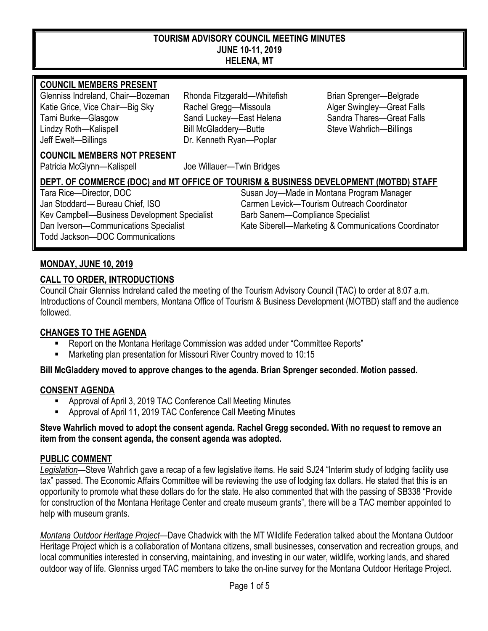#### **TOURISM ADVISORY COUNCIL MEETING MINUTES JUNE 10-11, 2019 HELENA, MT**

#### **COUNCIL MEMBERS PRESENT**

Glenniss Indreland, Chair—Bozeman Rhonda Fitzgerald—Whitefish Brian Sprenger—Belgrade Katie Grice, Vice Chair—Big Sky Rachel Gregg—Missoula Alger Swingley—Great Falls Tami Burke—Glasgow Sandi Luckey—East Helena Sandra Thares—Great Falls Lindzy Roth—Kalispell Bill McGladdery—Butte Steve Wahrlich—Billings Jeff Ewelt—Billings Dr. Kenneth Ryan—Poplar

#### **COUNCIL MEMBERS NOT PRESENT**

Patricia McGlynn—Kalispell Joe Willauer—Twin Bridges

## **DEPT. OF COMMERCE (DOC) and MT OFFICE OF TOURISM & BUSINESS DEVELOPMENT (MOTBD) STAFF**

Jan Stoddard— Bureau Chief, ISO Carmen Levick—Tourism Outreach Coordinator Kev Campbell—Business Development Specialist Barb Sanem—Compliance Specialist Todd Jackson—DOC Communications

Tara Rice—Director, DOC Susan Joy—Made in Montana Program Manager Dan Iverson—Communications Specialist Kate Siberell—Marketing & Communications Coordinator

## **MONDAY, JUNE 10, 2019**

### **CALL TO ORDER, INTRODUCTIONS**

Council Chair Glenniss Indreland called the meeting of the Tourism Advisory Council (TAC) to order at 8:07 a.m. Introductions of Council members, Montana Office of Tourism & Business Development (MOTBD) staff and the audience followed.

#### **CHANGES TO THE AGENDA**

- Report on the Montana Heritage Commission was added under "Committee Reports"
- Marketing plan presentation for Missouri River Country moved to 10:15

#### **Bill McGladdery moved to approve changes to the agenda. Brian Sprenger seconded. Motion passed.**

#### **CONSENT AGENDA**

- Approval of April 3, 2019 TAC Conference Call Meeting Minutes
- Approval of April 11, 2019 TAC Conference Call Meeting Minutes

#### **Steve Wahrlich moved to adopt the consent agenda. Rachel Gregg seconded. With no request to remove an item from the consent agenda, the consent agenda was adopted.**

#### **PUBLIC COMMENT**

*Legislation*—Steve Wahrlich gave a recap of a few legislative items. He said SJ24 "Interim study of lodging facility use tax" passed. The Economic Affairs Committee will be reviewing the use of lodging tax dollars. He stated that this is an opportunity to promote what these dollars do for the state. He also commented that with the passing of SB338 "Provide for construction of the Montana Heritage Center and create museum grants", there will be a TAC member appointed to help with museum grants.

*Montana Outdoor Heritage Project*—Dave Chadwick with the MT Wildlife Federation talked about the Montana Outdoor Heritage Project which is a collaboration of Montana citizens, small businesses, conservation and recreation groups, and local communities interested in conserving, maintaining, and investing in our water, wildlife, working lands, and shared outdoor way of life. Glenniss urged TAC members to take the on-line survey for the Montana Outdoor Heritage Project.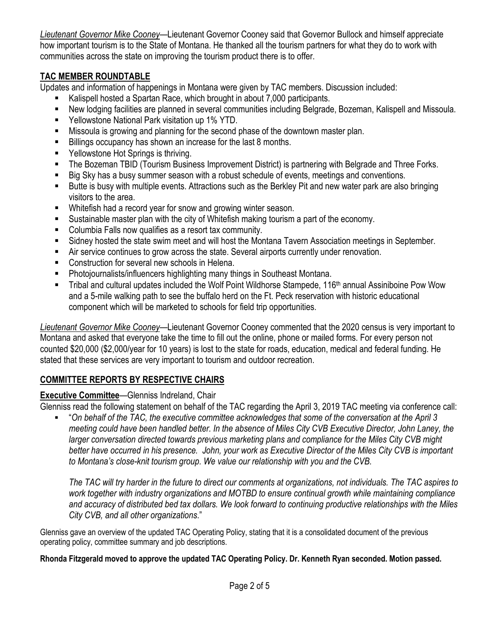*Lieutenant Governor Mike Cooney*—Lieutenant Governor Cooney said that Governor Bullock and himself appreciate how important tourism is to the State of Montana. He thanked all the tourism partners for what they do to work with communities across the state on improving the tourism product there is to offer.

## **TAC MEMBER ROUNDTABLE**

Updates and information of happenings in Montana were given by TAC members. Discussion included:

- Kalispell hosted a Spartan Race, which brought in about 7,000 participants.
- New lodging facilities are planned in several communities including Belgrade, Bozeman, Kalispell and Missoula.
- Yellowstone National Park visitation up 1% YTD.
- **Missoula is growing and planning for the second phase of the downtown master plan.**
- Billings occupancy has shown an increase for the last 8 months.
- Yellowstone Hot Springs is thriving.
- The Bozeman TBID (Tourism Business Improvement District) is partnering with Belgrade and Three Forks.
- Big Sky has a busy summer season with a robust schedule of events, meetings and conventions.
- Butte is busy with multiple events. Attractions such as the Berkley Pit and new water park are also bringing visitors to the area.
- Whitefish had a record year for snow and growing winter season.
- Sustainable master plan with the city of Whitefish making tourism a part of the economy.
- Columbia Falls now qualifies as a resort tax community.
- Sidney hosted the state swim meet and will host the Montana Tavern Association meetings in September.
- Air service continues to grow across the state. Several airports currently under renovation.
- Construction for several new schools in Helena.
- Photojournalists/influencers highlighting many things in Southeast Montana.
- Tribal and cultural updates included the Wolf Point Wildhorse Stampede, 116<sup>th</sup> annual Assiniboine Pow Wow and a 5-mile walking path to see the buffalo herd on the Ft. Peck reservation with historic educational component which will be marketed to schools for field trip opportunities.

*Lieutenant Governor Mike Cooney*—Lieutenant Governor Cooney commented that the 2020 census is very important to Montana and asked that everyone take the time to fill out the online, phone or mailed forms. For every person not counted \$20,000 (\$2,000/year for 10 years) is lost to the state for roads, education, medical and federal funding. He stated that these services are very important to tourism and outdoor recreation.

# **COMMITTEE REPORTS BY RESPECTIVE CHAIRS**

## **Executive Committee**—Glenniss Indreland, Chair

Glenniss read the following statement on behalf of the TAC regarding the April 3, 2019 TAC meeting via conference call:

 "*On behalf of the TAC, the executive committee acknowledges that some of the conversation at the April 3 meeting could have been handled better. In the absence of Miles City CVB Executive Director, John Laney, the larger conversation directed towards previous marketing plans and compliance for the Miles City CVB might better have occurred in his presence. John, your work as Executive Director of the Miles City CVB is important to Montana's close-knit tourism group. We value our relationship with you and the CVB.*

*The TAC will try harder in the future to direct our comments at organizations, not individuals. The TAC aspires to work together with industry organizations and MOTBD to ensure continual growth while maintaining compliance and accuracy of distributed bed tax dollars. We look forward to continuing productive relationships with the Miles City CVB, and all other organizations*."

Glenniss gave an overview of the updated TAC Operating Policy, stating that it is a consolidated document of the previous operating policy, committee summary and job descriptions.

#### **Rhonda Fitzgerald moved to approve the updated TAC Operating Policy. Dr. Kenneth Ryan seconded. Motion passed.**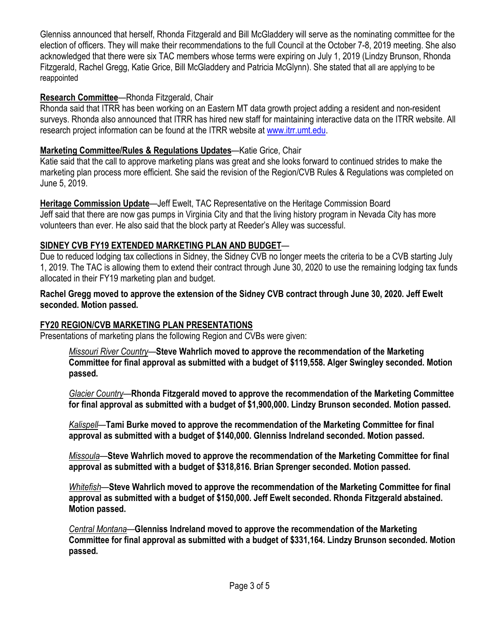Glenniss announced that herself, Rhonda Fitzgerald and Bill McGladdery will serve as the nominating committee for the election of officers. They will make their recommendations to the full Council at the October 7-8, 2019 meeting. She also acknowledged that there were six TAC members whose terms were expiring on July 1, 2019 (Lindzy Brunson, Rhonda Fitzgerald, Rachel Gregg, Katie Grice, Bill McGladdery and Patricia McGlynn). She stated that all are applying to be reappointed

## **Research Committee**—Rhonda Fitzgerald, Chair

Rhonda said that ITRR has been working on an Eastern MT data growth project adding a resident and non-resident surveys. Rhonda also announced that ITRR has hired new staff for maintaining interactive data on the ITRR website. All research project information can be found at the ITRR website at [www.itrr.umt.edu.](http://www.itrr.umt.edu/)

# **Marketing Committee/Rules & Regulations Updates**—Katie Grice, Chair

Katie said that the call to approve marketing plans was great and she looks forward to continued strides to make the marketing plan process more efficient. She said the revision of the Region/CVB Rules & Regulations was completed on June 5, 2019.

**Heritage Commission Update**—Jeff Ewelt, TAC Representative on the Heritage Commission Board Jeff said that there are now gas pumps in Virginia City and that the living history program in Nevada City has more volunteers than ever. He also said that the block party at Reeder's Alley was successful.

# **SIDNEY CVB FY19 EXTENDED MARKETING PLAN AND BUDGET**—

Due to reduced lodging tax collections in Sidney, the Sidney CVB no longer meets the criteria to be a CVB starting July 1, 2019. The TAC is allowing them to extend their contract through June 30, 2020 to use the remaining lodging tax funds allocated in their FY19 marketing plan and budget.

**Rachel Gregg moved to approve the extension of the Sidney CVB contract through June 30, 2020. Jeff Ewelt seconded. Motion passed.** 

# **FY20 REGION/CVB MARKETING PLAN PRESENTATIONS**

Presentations of marketing plans the following Region and CVBs were given:

*Missouri River Country*—**Steve Wahrlich moved to approve the recommendation of the Marketing Committee for final approval as submitted with a budget of \$119,558. Alger Swingley seconded. Motion passed.**

*Glacier Country*—**Rhonda Fitzgerald moved to approve the recommendation of the Marketing Committee for final approval as submitted with a budget of \$1,900,000. Lindzy Brunson seconded. Motion passed.**

*Kalispell*—**Tami Burke moved to approve the recommendation of the Marketing Committee for final approval as submitted with a budget of \$140,000. Glenniss Indreland seconded. Motion passed.**

*Missoula*—**Steve Wahrlich moved to approve the recommendation of the Marketing Committee for final approval as submitted with a budget of \$318,816. Brian Sprenger seconded. Motion passed.**

*Whitefish*—**Steve Wahrlich moved to approve the recommendation of the Marketing Committee for final approval as submitted with a budget of \$150,000. Jeff Ewelt seconded. Rhonda Fitzgerald abstained. Motion passed.**

*Central Montana*—**Glenniss Indreland moved to approve the recommendation of the Marketing Committee for final approval as submitted with a budget of \$331,164. Lindzy Brunson seconded. Motion passed.**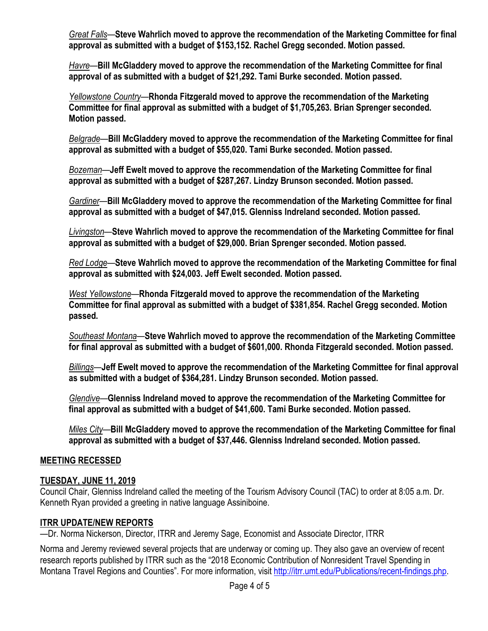*Great Falls*—**Steve Wahrlich moved to approve the recommendation of the Marketing Committee for final approval as submitted with a budget of \$153,152. Rachel Gregg seconded. Motion passed.**

*Havre*—**Bill McGladdery moved to approve the recommendation of the Marketing Committee for final approval of as submitted with a budget of \$21,292. Tami Burke seconded. Motion passed.**

*Yellowstone Country*—**Rhonda Fitzgerald moved to approve the recommendation of the Marketing Committee for final approval as submitted with a budget of \$1,705,263. Brian Sprenger seconded. Motion passed.**

*Belgrade*—**Bill McGladdery moved to approve the recommendation of the Marketing Committee for final approval as submitted with a budget of \$55,020. Tami Burke seconded. Motion passed.**

*Bozeman*—**Jeff Ewelt moved to approve the recommendation of the Marketing Committee for final approval as submitted with a budget of \$287,267. Lindzy Brunson seconded. Motion passed.**

*Gardiner*—**Bill McGladdery moved to approve the recommendation of the Marketing Committee for final approval as submitted with a budget of \$47,015. Glenniss Indreland seconded. Motion passed.**

*Livingston*—**Steve Wahrlich moved to approve the recommendation of the Marketing Committee for final approval as submitted with a budget of \$29,000. Brian Sprenger seconded. Motion passed.**

*Red Lodge*—**Steve Wahrlich moved to approve the recommendation of the Marketing Committee for final approval as submitted with \$24,003. Jeff Ewelt seconded. Motion passed.**

*West Yellowstone*—**Rhonda Fitzgerald moved to approve the recommendation of the Marketing Committee for final approval as submitted with a budget of \$381,854. Rachel Gregg seconded. Motion passed.**

*Southeast Montana*—**Steve Wahrlich moved to approve the recommendation of the Marketing Committee for final approval as submitted with a budget of \$601,000. Rhonda Fitzgerald seconded. Motion passed.**

*Billings*—**Jeff Ewelt moved to approve the recommendation of the Marketing Committee for final approval as submitted with a budget of \$364,281. Lindzy Brunson seconded. Motion passed.**

*Glendive*—**Glenniss Indreland moved to approve the recommendation of the Marketing Committee for final approval as submitted with a budget of \$41,600. Tami Burke seconded. Motion passed.**

*Miles City*—**Bill McGladdery moved to approve the recommendation of the Marketing Committee for final approval as submitted with a budget of \$37,446. Glenniss Indreland seconded. Motion passed.**

#### **MEETING RECESSED**

#### **TUESDAY, JUNE 11, 2019**

Council Chair, Glenniss Indreland called the meeting of the Tourism Advisory Council (TAC) to order at 8:05 a.m. Dr. Kenneth Ryan provided a greeting in native language Assiniboine.

#### **ITRR UPDATE/NEW REPORTS**

—Dr. Norma Nickerson, Director, ITRR and Jeremy Sage, Economist and Associate Director, ITRR

Norma and Jeremy reviewed several projects that are underway or coming up. They also gave an overview of recent research reports published by ITRR such as the "2018 Economic Contribution of Nonresident Travel Spending in Montana Travel Regions and Counties". For more information, visi[t http://itrr.umt.edu/Publications/recent-findings.php.](http://itrr.umt.edu/Publications/recent-findings.php)